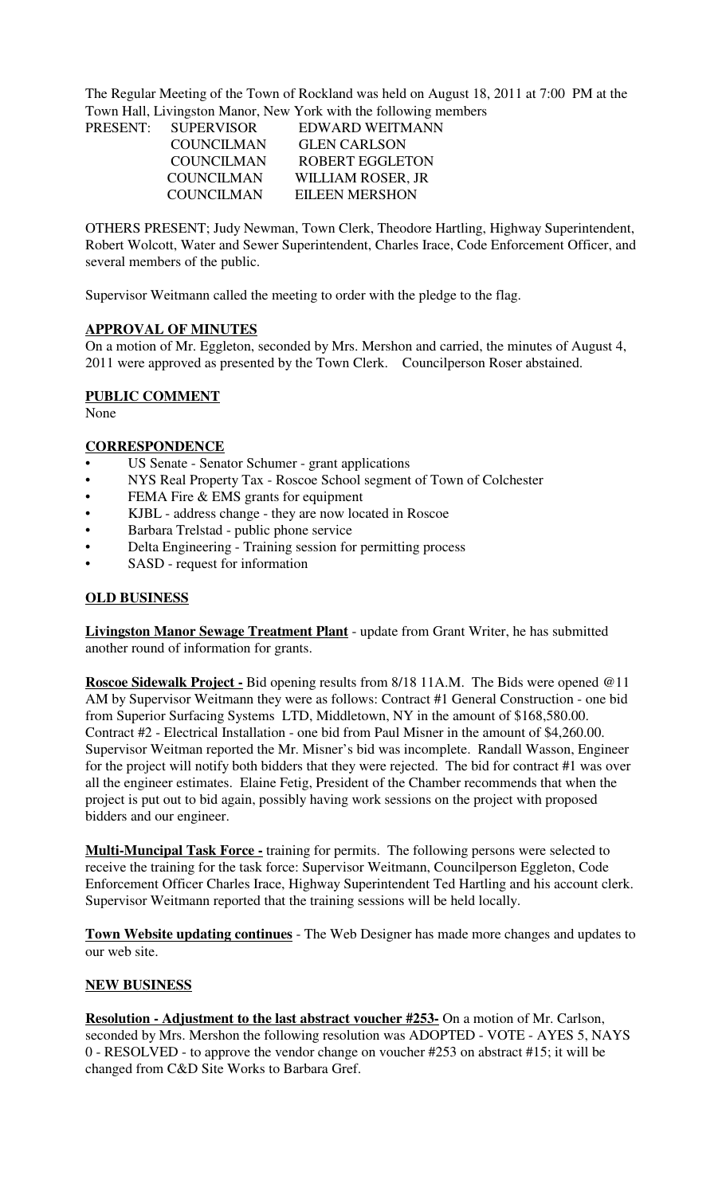The Regular Meeting of the Town of Rockland was held on August 18, 2011 at 7:00 PM at the Town Hall, Livingston Manor, New York with the following members

| PRESENT: SUPERVISOR | EDWARD WEITMANN        |  |
|---------------------|------------------------|--|
| <b>COUNCILMAN</b>   | <b>GLEN CARLSON</b>    |  |
| COUNCILMAN          | <b>ROBERT EGGLETON</b> |  |
| <b>COUNCILMAN</b>   | WILLIAM ROSER, JR      |  |
| <b>COUNCILMAN</b>   | EILEEN MERSHON         |  |
|                     |                        |  |

OTHERS PRESENT; Judy Newman, Town Clerk, Theodore Hartling, Highway Superintendent, Robert Wolcott, Water and Sewer Superintendent, Charles Irace, Code Enforcement Officer, and several members of the public.

Supervisor Weitmann called the meeting to order with the pledge to the flag.

### **APPROVAL OF MINUTES**

On a motion of Mr. Eggleton, seconded by Mrs. Mershon and carried, the minutes of August 4, 2011 were approved as presented by the Town Clerk. Councilperson Roser abstained.

### **PUBLIC COMMENT**

None

### **CORRESPONDENCE**

- US Senate Senator Schumer grant applications
- NYS Real Property Tax Roscoe School segment of Town of Colchester
- FEMA Fire & EMS grants for equipment
- KJBL address change they are now located in Roscoe
- Barbara Trelstad public phone service
- Delta Engineering Training session for permitting process
- SASD request for information

### **OLD BUSINESS**

**Livingston Manor Sewage Treatment Plant** - update from Grant Writer, he has submitted another round of information for grants.

**Roscoe Sidewalk Project -** Bid opening results from 8/18 11A.M. The Bids were opened @11 AM by Supervisor Weitmann they were as follows: Contract #1 General Construction - one bid from Superior Surfacing Systems LTD, Middletown, NY in the amount of \$168,580.00. Contract #2 - Electrical Installation - one bid from Paul Misner in the amount of \$4,260.00. Supervisor Weitman reported the Mr. Misner's bid was incomplete. Randall Wasson, Engineer for the project will notify both bidders that they were rejected. The bid for contract #1 was over all the engineer estimates. Elaine Fetig, President of the Chamber recommends that when the project is put out to bid again, possibly having work sessions on the project with proposed bidders and our engineer.

**Multi-Muncipal Task Force -** training for permits. The following persons were selected to receive the training for the task force: Supervisor Weitmann, Councilperson Eggleton, Code Enforcement Officer Charles Irace, Highway Superintendent Ted Hartling and his account clerk. Supervisor Weitmann reported that the training sessions will be held locally.

**Town Website updating continues** - The Web Designer has made more changes and updates to our web site.

## **NEW BUSINESS**

**Resolution - Adjustment to the last abstract voucher #253-** On a motion of Mr. Carlson, seconded by Mrs. Mershon the following resolution was ADOPTED - VOTE - AYES 5, NAYS 0 - RESOLVED - to approve the vendor change on voucher #253 on abstract #15; it will be changed from C&D Site Works to Barbara Gref.